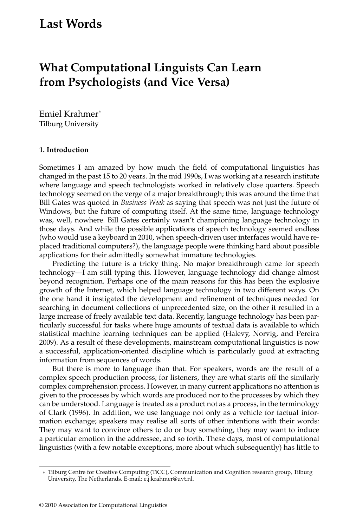# **Last Words**

# **What Computational Linguists Can Learn from Psychologists (and Vice Versa)**

Emiel Krahmer<sup>∗</sup> Tilburg University

## **1. Introduction**

Sometimes I am amazed by how much the field of computational linguistics has changed in the past 15 to 20 years. In the mid 1990s, I was working at a research institute where language and speech technologists worked in relatively close quarters. Speech technology seemed on the verge of a major breakthrough; this was around the time that Bill Gates was quoted in *Business Week* as saying that speech was not just the future of Windows, but the future of computing itself. At the same time, language technology was, well, nowhere. Bill Gates certainly wasn't championing language technology in those days. And while the possible applications of speech technology seemed endless (who would use a keyboard in 2010, when speech-driven user interfaces would have replaced traditional computers?), the language people were thinking hard about possible applications for their admittedly somewhat immature technologies.

Predicting the future is a tricky thing. No major breakthrough came for speech technology—I am still typing this. However, language technology did change almost beyond recognition. Perhaps one of the main reasons for this has been the explosive growth of the Internet, which helped language technology in two different ways. On the one hand it instigated the development and refinement of techniques needed for searching in document collections of unprecedented size, on the other it resulted in a large increase of freely available text data. Recently, language technology has been particularly successful for tasks where huge amounts of textual data is available to which statistical machine learning techniques can be applied (Halevy, Norvig, and Pereira 2009). As a result of these developments, mainstream computational linguistics is now a successful, application-oriented discipline which is particularly good at extracting information from sequences of words.

But there is more to language than that. For speakers, words are the result of a complex speech production process; for listeners, they are what starts off the similarly complex comprehension process. However, in many current applications no attention is given to the processes by which words are produced nor to the processes by which they can be understood. Language is treated as a product not as a process, in the terminology of Clark (1996). In addition, we use language not only as a vehicle for factual information exchange; speakers may realise all sorts of other intentions with their words: They may want to convince others to do or buy something, they may want to induce a particular emotion in the addressee, and so forth. These days, most of computational linguistics (with a few notable exceptions, more about which subsequently) has little to

<sup>∗</sup> Tilburg Centre for Creative Computing (TiCC), Communication and Cognition research group, Tilburg University, The Netherlands. E-mail: e.j.krahmer@uvt.nl.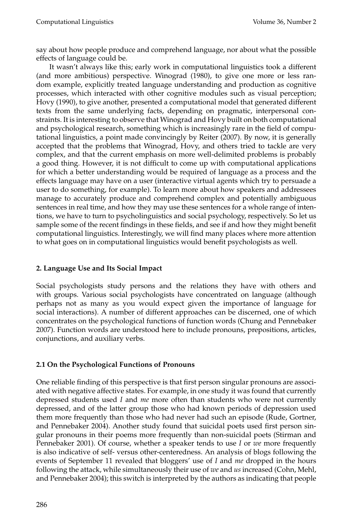say about how people produce and comprehend language, nor about what the possible effects of language could be.

It wasn't always like this; early work in computational linguistics took a different (and more ambitious) perspective. Winograd (1980), to give one more or less random example, explicitly treated language understanding and production as cognitive processes, which interacted with other cognitive modules such as visual perception; Hovy (1990), to give another, presented a computational model that generated different texts from the same underlying facts, depending on pragmatic, interpersonal constraints. It is interesting to observe that Winograd and Hovy built on both computational and psychological research, something which is increasingly rare in the field of computational linguistics, a point made convincingly by Reiter (2007). By now, it is generally accepted that the problems that Winograd, Hovy, and others tried to tackle are very complex, and that the current emphasis on more well-delimited problems is probably a good thing. However, it is not difficult to come up with computational applications for which a better understanding would be required of language as a process and the effects language may have on a user (interactive virtual agents which try to persuade a user to do something, for example). To learn more about how speakers and addressees manage to accurately produce and comprehend complex and potentially ambiguous sentences in real time, and how they may use these sentences for a whole range of intentions, we have to turn to psycholinguistics and social psychology, respectively. So let us sample some of the recent findings in these fields, and see if and how they might benefit computational linguistics. Interestingly, we will find many places where more attention to what goes on in computational linguistics would benefit psychologists as well.

# **2. Language Use and Its Social Impact**

Social psychologists study persons and the relations they have with others and with groups. Various social psychologists have concentrated on language (although perhaps not as many as you would expect given the importance of language for social interactions). A number of different approaches can be discerned, one of which concentrates on the psychological functions of function words (Chung and Pennebaker 2007). Function words are understood here to include pronouns, prepositions, articles, conjunctions, and auxiliary verbs.

# **2.1 On the Psychological Functions of Pronouns**

One reliable finding of this perspective is that first person singular pronouns are associated with negative affective states. For example, in one study it was found that currently depressed students used *I* and *me* more often than students who were not currently depressed, and of the latter group those who had known periods of depression used them more frequently than those who had never had such an episode (Rude, Gortner, and Pennebaker 2004). Another study found that suicidal poets used first person singular pronouns in their poems more frequently than non-suicidal poets (Stirman and Pennebaker 2001). Of course, whether a speaker tends to use *I* or *we* more frequently is also indicative of self- versus other-centeredness. An analysis of blogs following the events of September 11 revealed that bloggers' use of *I* and *me* dropped in the hours following the attack, while simultaneously their use of *we* and *us* increased (Cohn, Mehl, and Pennebaker 2004); this switch is interpreted by the authors as indicating that people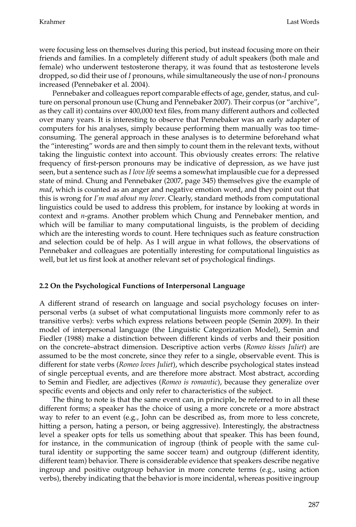were focusing less on themselves during this period, but instead focusing more on their friends and families. In a completely different study of adult speakers (both male and female) who underwent testosterone therapy, it was found that as testosterone levels dropped, so did their use of *I* pronouns, while simultaneously the use of non-*I* pronouns increased (Pennebaker et al. 2004).

Pennebaker and colleagues report comparable effects of age, gender, status, and culture on personal pronoun use (Chung and Pennebaker 2007). Their corpus (or "archive", as they call it) contains over 400,000 text files, from many different authors and collected over many years. It is interesting to observe that Pennebaker was an early adapter of computers for his analyses, simply because performing them manually was too timeconsuming. The general approach in these analyses is to determine beforehand what the "interesting" words are and then simply to count them in the relevant texts, without taking the linguistic context into account. This obviously creates errors: The relative frequency of first-person pronouns may be indicative of depression, as we have just seen, but a sentence such as *I love life* seems a somewhat implausible cue for a depressed state of mind. Chung and Pennebaker (2007, page 345) themselves give the example of *mad*, which is counted as an anger and negative emotion word, and they point out that this is wrong for *I'm mad about my lover*. Clearly, standard methods from computational linguistics could be used to address this problem, for instance by looking at words in context and *n*-grams. Another problem which Chung and Pennebaker mention, and which will be familiar to many computational linguists, is the problem of deciding which are the interesting words to count. Here techniques such as feature construction and selection could be of help. As I will argue in what follows, the observations of Pennebaker and colleagues are potentially interesting for computational linguistics as well, but let us first look at another relevant set of psychological findings.

### **2.2 On the Psychological Functions of Interpersonal Language**

A different strand of research on language and social psychology focuses on interpersonal verbs (a subset of what computational linguists more commonly refer to as transitive verbs): verbs which express relations between people (Semin 2009). In their model of interpersonal language (the Linguistic Categorization Model), Semin and Fiedler (1988) make a distinction between different kinds of verbs and their position on the concrete–abstract dimension. Descriptive action verbs (*Romeo kisses Juliet*) are assumed to be the most concrete, since they refer to a single, observable event. This is different for state verbs (*Romeo loves Juliet*), which describe psychological states instead of single perceptual events, and are therefore more abstract. Most abstract, according to Semin and Fiedler, are adjectives (*Romeo is romantic*), because they generalize over specific events and objects and only refer to characteristics of the subject.

The thing to note is that the same event can, in principle, be referred to in all these different forms; a speaker has the choice of using a more concrete or a more abstract way to refer to an event (e.g., John can be described as, from more to less concrete, hitting a person, hating a person, or being aggressive). Interestingly, the abstractness level a speaker opts for tells us something about that speaker. This has been found, for instance, in the communication of ingroup (think of people with the same cultural identity or supporting the same soccer team) and outgroup (different identity, different team) behavior. There is considerable evidence that speakers describe negative ingroup and positive outgroup behavior in more concrete terms (e.g., using action verbs), thereby indicating that the behavior is more incidental, whereas positive ingroup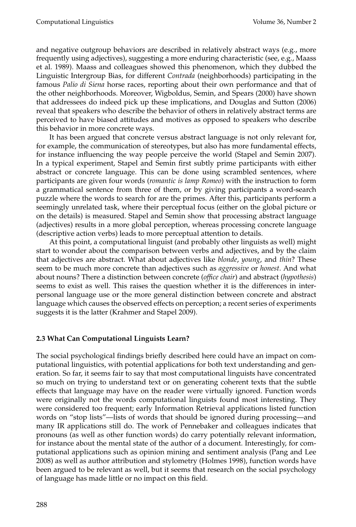and negative outgroup behaviors are described in relatively abstract ways (e.g., more frequently using adjectives), suggesting a more enduring characteristic (see, e.g., Maass et al. 1989). Maass and colleagues showed this phenomenon, which they dubbed the Linguistic Intergroup Bias, for different *Contrada* (neighborhoods) participating in the famous *Palio di Siena* horse races, reporting about their own performance and that of the other neighborhoods. Moreover, Wigboldus, Semin, and Spears (2000) have shown that addressees do indeed pick up these implications, and Douglas and Sutton (2006) reveal that speakers who describe the behavior of others in relatively abstract terms are perceived to have biased attitudes and motives as opposed to speakers who describe this behavior in more concrete ways.

It has been argued that concrete versus abstract language is not only relevant for, for example, the communication of stereotypes, but also has more fundamental effects, for instance influencing the way people perceive the world (Stapel and Semin 2007). In a typical experiment, Stapel and Semin first subtly prime participants with either abstract or concrete language. This can be done using scrambled sentences, where participants are given four words (*romantic is lamp Romeo*) with the instruction to form a grammatical sentence from three of them, or by giving participants a word-search puzzle where the words to search for are the primes. After this, participants perform a seemingly unrelated task, where their perceptual focus (either on the global picture or on the details) is measured. Stapel and Semin show that processing abstract language (adjectives) results in a more global perception, whereas processing concrete language (descriptive action verbs) leads to more perceptual attention to details.

At this point, a computational linguist (and probably other linguists as well) might start to wonder about the comparison between verbs and adjectives, and by the claim that adjectives are abstract. What about adjectives like *blonde*, *young*, and *thin*? These seem to be much more concrete than adjectives such as *aggressive* or *honest*. And what about nouns? There a distinction between concrete (*office chair*) and abstract (*hypothesis*) seems to exist as well. This raises the question whether it is the differences in interpersonal language use or the more general distinction between concrete and abstract language which causes the observed effects on perception; a recent series of experiments suggests it is the latter (Krahmer and Stapel 2009).

# **2.3 What Can Computational Linguists Learn?**

The social psychological findings briefly described here could have an impact on computational linguistics, with potential applications for both text understanding and generation. So far, it seems fair to say that most computational linguists have concentrated so much on trying to understand text or on generating coherent texts that the subtle effects that language may have on the reader were virtually ignored. Function words were originally not the words computational linguists found most interesting. They were considered too frequent; early Information Retrieval applications listed function words on "stop lists"—lists of words that should be ignored during processing—and many IR applications still do. The work of Pennebaker and colleagues indicates that pronouns (as well as other function words) do carry potentially relevant information, for instance about the mental state of the author of a document. Interestingly, for computational applications such as opinion mining and sentiment analysis (Pang and Lee 2008) as well as author attribution and stylometry (Holmes 1998), function words have been argued to be relevant as well, but it seems that research on the social psychology of language has made little or no impact on this field.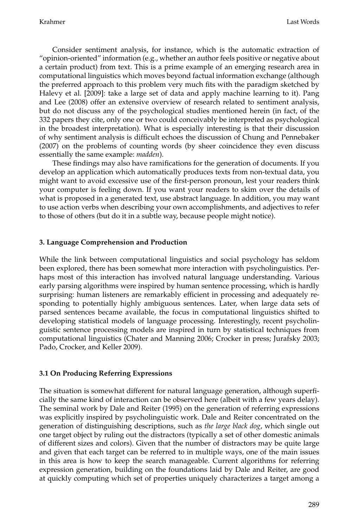Consider sentiment analysis, for instance, which is the automatic extraction of "opinion-oriented" information (e.g., whether an author feels positive or negative about a certain product) from text. This is a prime example of an emerging research area in computational linguistics which moves beyond factual information exchange (although the preferred approach to this problem very much fits with the paradigm sketched by Halevy et al. [2009]: take a large set of data and apply machine learning to it). Pang and Lee (2008) offer an extensive overview of research related to sentiment analysis, but do not discuss any of the psychological studies mentioned herein (in fact, of the 332papers they cite, only one or two could conceivably be interpreted as psychological in the broadest interpretation). What is especially interesting is that their discussion of why sentiment analysis is difficult echoes the discussion of Chung and Pennebaker (2007) on the problems of counting words (by sheer coincidence they even discuss essentially the same example: *madden*).

These findings may also have ramifications for the generation of documents. If you develop an application which automatically produces texts from non-textual data, you might want to avoid excessive use of the first-person pronoun, lest your readers think your computer is feeling down. If you want your readers to skim over the details of what is proposed in a generated text, use abstract language. In addition, you may want to use action verbs when describing your own accomplishments, and adjectives to refer to those of others (but do it in a subtle way, because people might notice).

# **3. Language Comprehension and Production**

While the link between computational linguistics and social psychology has seldom been explored, there has been somewhat more interaction with psycholinguistics. Perhaps most of this interaction has involved natural language understanding. Various early parsing algorithms were inspired by human sentence processing, which is hardly surprising: human listeners are remarkably efficient in processing and adequately responding to potentially highly ambiguous sentences. Later, when large data sets of parsed sentences became available, the focus in computational linguistics shifted to developing statistical models of language processing. Interestingly, recent psycholinguistic sentence processing models are inspired in turn by statistical techniques from computational linguistics (Chater and Manning 2006; Crocker in press; Jurafsky 2003; Pado, Crocker, and Keller 2009).

# **3.1 On Producing Referring Expressions**

The situation is somewhat different for natural language generation, although superficially the same kind of interaction can be observed here (albeit with a few years delay). The seminal work by Dale and Reiter (1995) on the generation of referring expressions was explicitly inspired by psycholinguistic work. Dale and Reiter concentrated on the generation of distinguishing descriptions, such as *the large black dog*, which single out one target object by ruling out the distractors (typically a set of other domestic animals of different sizes and colors). Given that the number of distractors may be quite large and given that each target can be referred to in multiple ways, one of the main issues in this area is how to keep the search manageable. Current algorithms for referring expression generation, building on the foundations laid by Dale and Reiter, are good at quickly computing which set of properties uniquely characterizes a target among a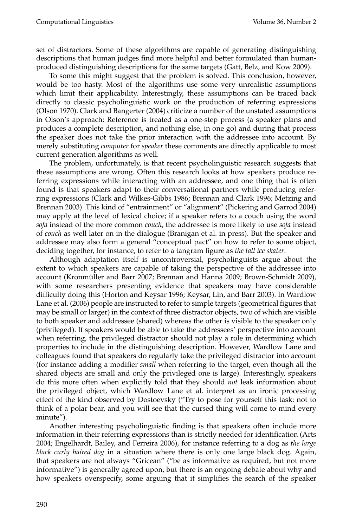set of distractors. Some of these algorithms are capable of generating distinguishing descriptions that human judges find more helpful and better formulated than humanproduced distinguishing descriptions for the same targets (Gatt, Belz, and Kow 2009).

To some this might suggest that the problem is solved. This conclusion, however, would be too hasty. Most of the algorithms use some very unrealistic assumptions which limit their applicability. Interestingly, these assumptions can be traced back directly to classic psycholinguistic work on the production of referring expressions (Olson 1970). Clark and Bangerter (2004) criticize a number of the unstated assumptions in Olson's approach: Reference is treated as a one-step process (a speaker plans and produces a complete description, and nothing else, in one go) and during that process the speaker does not take the prior interaction with the addressee into account. By merely substituting *computer* for *speaker* these comments are directly applicable to most current generation algorithms as well.

The problem, unfortunately, is that recent psycholinguistic research suggests that these assumptions are wrong. Often this research looks at how speakers produce referring expressions while interacting with an addressee, and one thing that is often found is that speakers adapt to their conversational partners while producing referring expressions (Clark and Wilkes-Gibbs 1986; Brennan and Clark 1996; Metzing and Brennan 2003). This kind of "entrainment" or "alignment" (Pickering and Garrod 2004) may apply at the level of lexical choice; if a speaker refers to a couch using the word *sofa* instead of the more common *couch*, the addressee is more likely to use *sofa* instead of *couch* as well later on in the dialogue (Branigan et al. in press). But the speaker and addressee may also form a general "conceptual pact" on how to refer to some object, deciding together, for instance, to refer to a tangram figure as *the tall ice skater*.

Although adaptation itself is uncontroversial, psycholinguists argue about the extent to which speakers are capable of taking the perspective of the addressee into account (Kronmüller and Barr 2007; Brennan and Hanna 2009; Brown-Schmidt 2009), with some researchers presenting evidence that speakers may have considerable difficulty doing this (Horton and Keysar 1996; Keysar, Lin, and Barr 2003). In Wardlow Lane et al. (2006) people are instructed to refer to simple targets (geometrical figures that may be small or larger) in the context of three distractor objects, two of which are visible to both speaker and addressee (shared) whereas the other is visible to the speaker only (privileged). If speakers would be able to take the addressees' perspective into account when referring, the privileged distractor should not play a role in determining which properties to include in the distinguishing description. However, Wardlow Lane and colleagues found that speakers do regularly take the privileged distractor into account (for instance adding a modifier *small* when referring to the target, even though all the shared objects are small and only the privileged one is large). Interestingly, speakers do this more often when explicitly told that they should *not* leak information about the privileged object, which Wardlow Lane et al. interpret as an ironic processing effect of the kind observed by Dostoevsky ("Try to pose for yourself this task: not to think of a polar bear, and you will see that the cursed thing will come to mind every minute").

Another interesting psycholinguistic finding is that speakers often include more information in their referring expressions than is strictly needed for identification (Arts 2004; Engelhardt, Bailey, and Ferreira 2006), for instance referring to a dog as *the large black curly haired dog* in a situation where there is only one large black dog. Again, that speakers are not always "Gricean" ("be as informative as required, but not more informative") is generally agreed upon, but there is an ongoing debate about why and how speakers overspecify, some arguing that it simplifies the search of the speaker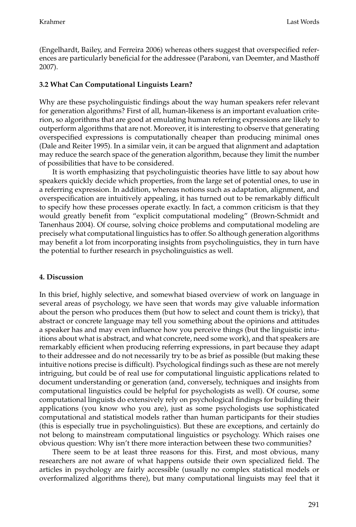(Engelhardt, Bailey, and Ferreira 2006) whereas others suggest that overspecified references are particularly beneficial for the addressee (Paraboni, van Deemter, and Masthoff 2007).

## **3.2 What Can Computational Linguists Learn?**

Why are these psycholinguistic findings about the way human speakers refer relevant for generation algorithms? First of all, human-likeness is an important evaluation criterion, so algorithms that are good at emulating human referring expressions are likely to outperform algorithms that are not. Moreover, it is interesting to observe that generating overspecified expressions is computationally cheaper than producing minimal ones (Dale and Reiter 1995). In a similar vein, it can be argued that alignment and adaptation may reduce the search space of the generation algorithm, because they limit the number of possibilities that have to be considered.

It is worth emphasizing that psycholinguistic theories have little to say about how speakers quickly decide which properties, from the large set of potential ones, to use in a referring expression. In addition, whereas notions such as adaptation, alignment, and overspecification are intuitively appealing, it has turned out to be remarkably difficult to specify how these processes operate exactly. In fact, a common criticism is that they would greatly benefit from "explicit computational modeling" (Brown-Schmidt and Tanenhaus 2004). Of course, solving choice problems and computational modeling are precisely what computational linguistics has to offer. So although generation algorithms may benefit a lot from incorporating insights from psycholinguistics, they in turn have the potential to further research in psycholinguistics as well.

### **4. Discussion**

In this brief, highly selective, and somewhat biased overview of work on language in several areas of psychology, we have seen that words may give valuable information about the person who produces them (but how to select and count them is tricky), that abstract or concrete language may tell you something about the opinions and attitudes a speaker has and may even influence how you perceive things (but the linguistic intuitions about what is abstract, and what concrete, need some work), and that speakers are remarkably efficient when producing referring expressions, in part because they adapt to their addressee and do not necessarily try to be as brief as possible (but making these intuitive notions precise is difficult). Psychological findings such as these are not merely intriguing, but could be of real use for computational linguistic applications related to document understanding or generation (and, conversely, techniques and insights from computational linguistics could be helpful for psychologists as well). Of course, some computational linguists do extensively rely on psychological findings for building their applications (you know who you are), just as some psychologists use sophisticated computational and statistical models rather than human participants for their studies (this is especially true in psycholinguistics). But these are exceptions, and certainly do not belong to mainstream computational linguistics or psychology. Which raises one obvious question: Why isn't there more interaction between these two communities?

There seem to be at least three reasons for this. First, and most obvious, many researchers are not aware of what happens outside their own specialized field. The articles in psychology are fairly accessible (usually no complex statistical models or overformalized algorithms there), but many computational linguists may feel that it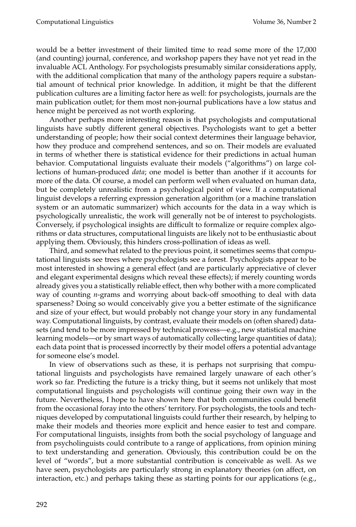would be a better investment of their limited time to read some more of the 17,000 (and counting) journal, conference, and workshop papers they have not yet read in the invaluable ACL Anthology. For psychologists presumably similar considerations apply, with the additional complication that many of the anthology papers require a substantial amount of technical prior knowledge. In addition, it might be that the different publication cultures are a limiting factor here as well: for psychologists, journals are the main publication outlet; for them most non-journal publications have a low status and hence might be perceived as not worth exploring.

Another perhaps more interesting reason is that psychologists and computational linguists have subtly different general objectives. Psychologists want to get a better understanding of people; how their social context determines their language behavior, how they produce and comprehend sentences, and so on. Their models are evaluated in terms of whether there is statistical evidence for their predictions in actual human behavior. Computational linguists evaluate their models ("algorithms") on large collections of human-produced *data*; one model is better than another if it accounts for more of the data. Of course, a model can perform well when evaluated on human data, but be completely unrealistic from a psychological point of view. If a computational linguist develops a referring expression generation algorithm (or a machine translation system or an automatic summarizer) which accounts for the data in a way which is psychologically unrealistic, the work will generally not be of interest to psychologists. Conversely, if psychological insights are difficult to formalize or require complex algorithms or data structures, computational linguists are likely not to be enthusiastic about applying them. Obviously, this hinders cross-pollination of ideas as well.

Third, and somewhat related to the previous point, it sometimes seems that computational linguists see trees where psychologists see a forest. Psychologists appear to be most interested in showing a general effect (and are particularly appreciative of clever and elegant experimental designs which reveal these effects); if merely counting words already gives you a statistically reliable effect, then why bother with a more complicated way of counting *n*-grams and worrying about back-off smoothing to deal with data sparseness? Doing so would conceivably give you a better estimate of the significance and size of your effect, but would probably not change your story in any fundamental way. Computational linguists, by contrast, evaluate their models on (often shared) datasets (and tend to be more impressed by technical prowess—e.g., new statistical machine learning models—or by smart ways of automatically collecting large quantities of data); each data point that is processed incorrectly by their model offers a potential advantage for someone else's model.

In view of observations such as these, it is perhaps not surprising that computational linguists and psychologists have remained largely unaware of each other's work so far. Predicting the future is a tricky thing, but it seems not unlikely that most computational linguists and psychologists will continue going their own way in the future. Nevertheless, I hope to have shown here that both communities could benefit from the occasional foray into the others' territory. For psychologists, the tools and techniques developed by computational linguists could further their research, by helping to make their models and theories more explicit and hence easier to test and compare. For computational linguists, insights from both the social psychology of language and from psycholinguists could contribute to a range of applications, from opinion mining to text understanding and generation. Obviously, this contribution could be on the level of "words", but a more substantial contribution is conceivable as well. As we have seen, psychologists are particularly strong in explanatory theories (on affect, on interaction, etc.) and perhaps taking these as starting points for our applications (e.g.,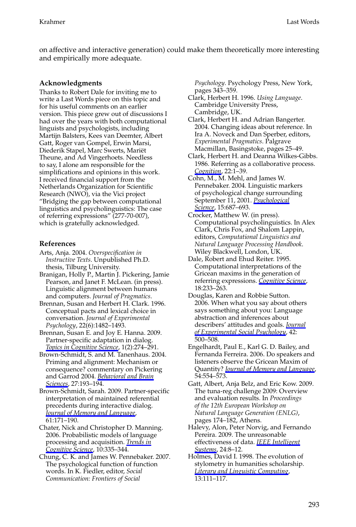on affective and interactive generation) could make them theoretically more interesting and empirically more adequate.

#### **Acknowledgments**

Thanks to Robert Dale for inviting me to write a Last Words piece on this topic and for his useful comments on an earlier version. This piece grew out of discussions I had over the years with both computational linguists and psychologists, including Martijn Balsters, Kees van Deemter, Albert Gatt, Roger van Gompel, Erwin Marsi, Diederik Stapel, Marc Swerts, Mariet¨ Theune, and Ad Vingerhoets. Needless to say, I alone am responsible for the simplifications and opinions in this work. I received financial support from the Netherlands Organization for Scientific Research (NWO), via the Vici project "Bridging the gap between computational linguistics and psycholinguistics: The case of referring expressions" (277-70-007), which is gratefully acknowledged.

#### **References**

- Arts, Anja. 2004. *Overspecification in Instructive Texts*. Unpublished Ph.D. thesis, Tilburg University.
- Branigan, Holly P., Martin J. Pickering, Jamie Pearson, and Janet F. McLean. (in press). Linguistic alignment between humans and computers. *Journal of Pragmatics*.
- Brennan, Susan and Herbert H. Clark. 1996. Conceptual pacts and lexical choice in conversation. *Journal of Experimental Psychology*, 22(6):1482–1493.
- Brennan, Susan E. and Joy E. Hanna. 2009. Partner-specific adaptation in dialog. *Topics in Cognitive Science*, 1(2):274–291.
- Brown-Schmidt, S. and M. Tanenhaus. 2004. Priming and alignment: Mechanism or consequence? commentary on Pickering and Garrod 2004. *Behavioral and Brain Sciences*, 27:193–194.
- Brown-Schmidt, Sarah. 2009. Partner-specific interpretation of maintained referential precedents during interactive dialog. *Journal of Memory and Language*, 61:171–190.
- Chater, Nick and Christopher D. Manning. 2006. Probabilistic models of language processing and acquisition. *Trends in Cognitive Science*, 10:335–344.
- Chung, C. K. and James W. Pennebaker. 2007. The psychological function of function words. In K. Fiedler, editor, *Social Communication: Frontiers of Social*

*Psychology*. Psychology Press, New York, pages 343–359.

- Clark, Herbert H. 1996. *Using Language*. Cambridge University Press, Cambridge, UK.
- Clark, Herbert H. and Adrian Bangerter. 2004. Changing ideas about reference. In Ira A. Noveck and Dan Sperber, editors, *Experimental Pragmatics*. Palgrave Macmillan, Basingstoke, pages 25–49.
- Clark, Herbert H. and Deanna Wilkes-Gibbs. 1986. Referring as a collaborative process. *Cognition*, 22:1–39.
- Cohn, M., M. Mehl, and James W. Pennebaker. 2004. Linguistic markers of psychological change surrounding September 11, 2001. *Psychological Science*, 15:687–693.
- Crocker, Matthew W. (in press). Computational psycholinguistics. In Alex Clark, Chris Fox, and Shalom Lappin, editors, *Computational Linguistics and Natural Language Processing Handbook*. Wiley Blackwell, London, UK.
- Dale, Robert and Ehud Reiter. 1995. Computational interpretations of the Gricean maxims in the generation of referring expressions. *Cognitive Science*, 18:233–263.
- Douglas, Karen and Robbie Sutton. 2006. When what you say about others says something about you: Language abstraction and inferences about describers' attitudes and goals. *Journal of Experimental Social Psychology*, 42 : 500–508.
- Engelhardt, Paul E., Karl G. D. Bailey, and Fernanda Ferreira. 2006. Do speakers and listeners observe the Gricean Maxim of Quantity? *Journal of Memory and Language*, 54:554–573.
- Gatt, Albert, Anja Belz, and Eric Kow. 2009. The tuna-reg challenge 2009: Overview and evaluation results. In *Proceedings of the 12th European Workshop on Natural Language Generation (ENLG)*, pages 174–182, Athens.
- Halevy, Alon, Peter Norvig, and Fernando Pereira. 2009. The unreasonable effectiveness of data. *IEEE Intelligent Systems*, 24:8–12.
- Holmes, David I. 1998. The evolution of stylometry in humanities scholarship. *Literary and Linguistic Computing*, 13:111–117.